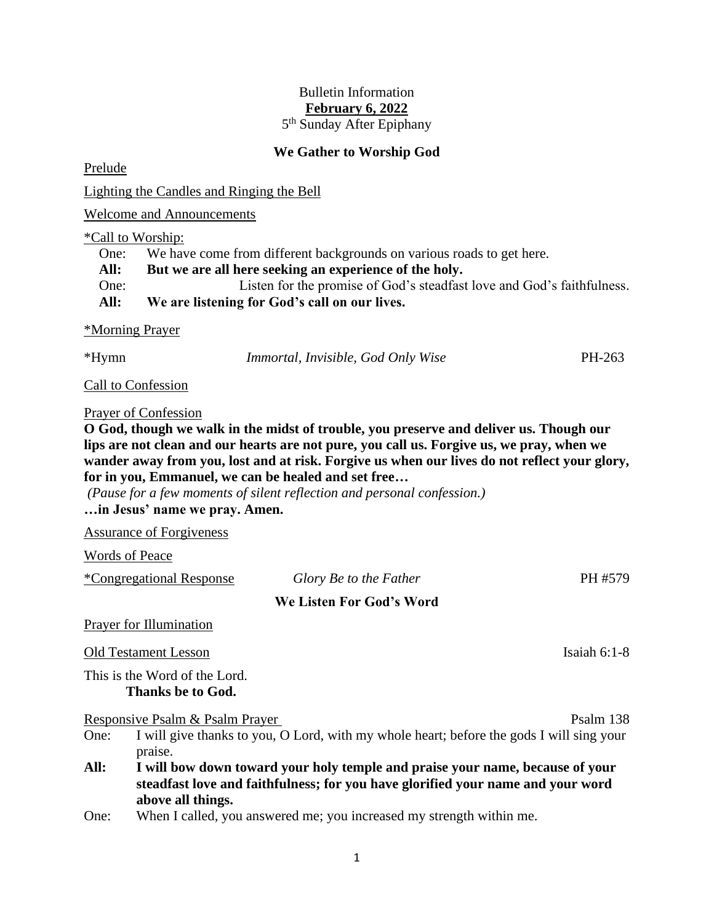# Bulletin Information **February 6, 2022**

5<sup>th</sup> Sunday After Epiphany

## **We Gather to Worship God**

Prelude

Lighting the Candles and Ringing the Bell

Welcome and Announcements

#### \*Call to Worship:

One: We have come from different backgrounds on various roads to get here.

**All: But we are all here seeking an experience of the holy.**

One: Listen for the promise of God's steadfast love and God's faithfulness.

**All: We are listening for God's call on our lives.**

## \*Morning Prayer

\*Hymn *Immortal, Invisible, God Only Wise* PH-263

Call to Confession

## Prayer of Confession

**O God, though we walk in the midst of trouble, you preserve and deliver us. Though our lips are not clean and our hearts are not pure, you call us. Forgive us, we pray, when we wander away from you, lost and at risk. Forgive us when our lives do not reflect your glory, for in you, Emmanuel, we can be healed and set free…**

*(Pause for a few moments of silent reflection and personal confession.)* **…in Jesus' name we pray. Amen.**

Assurance of Forgiveness

Words of Peace

|      | <i>*Congregational Response</i>                                                                                                                                                       | Glory Be to the Father                                                                   | PH #579        |  |
|------|---------------------------------------------------------------------------------------------------------------------------------------------------------------------------------------|------------------------------------------------------------------------------------------|----------------|--|
|      |                                                                                                                                                                                       | We Listen For God's Word                                                                 |                |  |
|      | <b>Prayer for Illumination</b>                                                                                                                                                        |                                                                                          |                |  |
|      | <b>Old Testament Lesson</b>                                                                                                                                                           |                                                                                          | Isaiah $6:1-8$ |  |
|      | This is the Word of the Lord.<br>Thanks be to God.                                                                                                                                    |                                                                                          |                |  |
|      | Responsive Psalm & Psalm Prayer                                                                                                                                                       |                                                                                          | Psalm 138      |  |
| One: | praise.                                                                                                                                                                               | I will give thanks to you, O Lord, with my whole heart; before the gods I will sing your |                |  |
| All: | I will bow down toward your holy temple and praise your name, because of your<br>steadfast love and faithfulness; for you have glorified your name and your word<br>above all things. |                                                                                          |                |  |
| One: |                                                                                                                                                                                       | When I called, you answered me; you increased my strength within me.                     |                |  |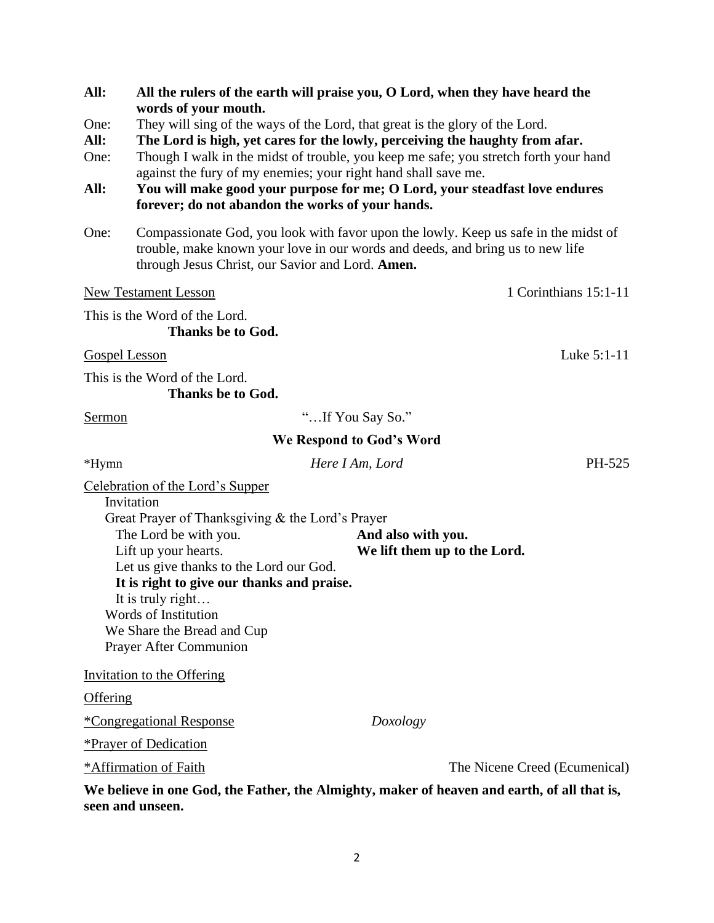| All:            | All the rulers of the earth will praise you, O Lord, when they have heard the                                                                                                                                             |                          |                                                                                             |  |  |  |
|-----------------|---------------------------------------------------------------------------------------------------------------------------------------------------------------------------------------------------------------------------|--------------------------|---------------------------------------------------------------------------------------------|--|--|--|
| One:            | words of your mouth.                                                                                                                                                                                                      |                          |                                                                                             |  |  |  |
| All:            | They will sing of the ways of the Lord, that great is the glory of the Lord.<br>The Lord is high, yet cares for the lowly, perceiving the haughty from afar.                                                              |                          |                                                                                             |  |  |  |
| One:            | Though I walk in the midst of trouble, you keep me safe; you stretch forth your hand                                                                                                                                      |                          |                                                                                             |  |  |  |
| All:            | against the fury of my enemies; your right hand shall save me.<br>You will make good your purpose for me; O Lord, your steadfast love endures<br>forever; do not abandon the works of your hands.                         |                          |                                                                                             |  |  |  |
| One:            | Compassionate God, you look with favor upon the lowly. Keep us safe in the midst of<br>trouble, make known your love in our words and deeds, and bring us to new life<br>through Jesus Christ, our Savior and Lord. Amen. |                          |                                                                                             |  |  |  |
|                 | <b>New Testament Lesson</b>                                                                                                                                                                                               |                          | 1 Corinthians 15:1-11                                                                       |  |  |  |
|                 | This is the Word of the Lord.<br><b>Thanks be to God.</b>                                                                                                                                                                 |                          |                                                                                             |  |  |  |
| Gospel Lesson   |                                                                                                                                                                                                                           |                          | Luke $5:1-11$                                                                               |  |  |  |
|                 | This is the Word of the Lord.<br><b>Thanks be to God.</b>                                                                                                                                                                 |                          |                                                                                             |  |  |  |
| Sermon          |                                                                                                                                                                                                                           | "If You Say So."         |                                                                                             |  |  |  |
|                 |                                                                                                                                                                                                                           | We Respond to God's Word |                                                                                             |  |  |  |
| *Hymn           |                                                                                                                                                                                                                           | Here I Am, Lord          | PH-525                                                                                      |  |  |  |
|                 | Celebration of the Lord's Supper                                                                                                                                                                                          |                          |                                                                                             |  |  |  |
|                 | Invitation                                                                                                                                                                                                                |                          |                                                                                             |  |  |  |
|                 | Great Prayer of Thanksgiving & the Lord's Prayer<br>The Lord be with you.                                                                                                                                                 |                          |                                                                                             |  |  |  |
|                 | Lift up your hearts.                                                                                                                                                                                                      |                          | And also with you.<br>We lift them up to the Lord.                                          |  |  |  |
|                 | Let us give thanks to the Lord our God.                                                                                                                                                                                   |                          |                                                                                             |  |  |  |
|                 | It is right to give our thanks and praise.                                                                                                                                                                                |                          |                                                                                             |  |  |  |
|                 | It is truly right                                                                                                                                                                                                         |                          |                                                                                             |  |  |  |
|                 | Words of Institution                                                                                                                                                                                                      |                          |                                                                                             |  |  |  |
|                 | We Share the Bread and Cup                                                                                                                                                                                                |                          |                                                                                             |  |  |  |
|                 | <b>Prayer After Communion</b>                                                                                                                                                                                             |                          |                                                                                             |  |  |  |
|                 | <b>Invitation to the Offering</b>                                                                                                                                                                                         |                          |                                                                                             |  |  |  |
| <b>Offering</b> |                                                                                                                                                                                                                           |                          |                                                                                             |  |  |  |
|                 | <i><b>*Congregational Response</b></i>                                                                                                                                                                                    | Doxology                 |                                                                                             |  |  |  |
|                 | <b>*Prayer of Dedication</b>                                                                                                                                                                                              |                          |                                                                                             |  |  |  |
|                 | *Affirmation of Faith                                                                                                                                                                                                     |                          | The Nicene Creed (Ecumenical)                                                               |  |  |  |
|                 | seen and unseen.                                                                                                                                                                                                          |                          | We believe in one God, the Father, the Almighty, maker of heaven and earth, of all that is, |  |  |  |

2